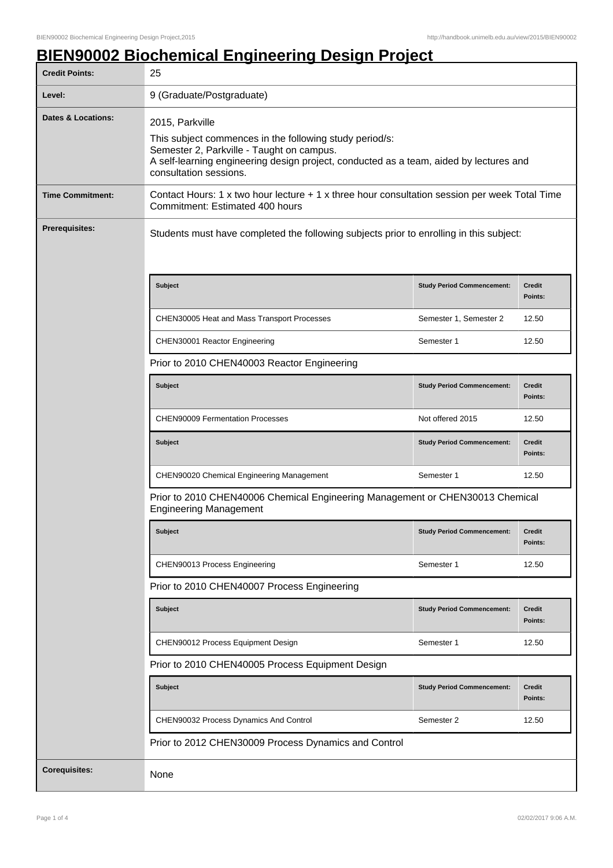## **BIEN90002 Biochemical Engineering Design Project**

| <b>Credit Points:</b>         | 25                                                                                                                                                                                                                                          |                                   |                          |
|-------------------------------|---------------------------------------------------------------------------------------------------------------------------------------------------------------------------------------------------------------------------------------------|-----------------------------------|--------------------------|
| Level:                        | 9 (Graduate/Postgraduate)                                                                                                                                                                                                                   |                                   |                          |
| <b>Dates &amp; Locations:</b> | 2015, Parkville<br>This subject commences in the following study period/s:<br>Semester 2, Parkville - Taught on campus.<br>A self-learning engineering design project, conducted as a team, aided by lectures and<br>consultation sessions. |                                   |                          |
| <b>Time Commitment:</b>       | Contact Hours: 1 x two hour lecture + 1 x three hour consultation session per week Total Time<br>Commitment: Estimated 400 hours                                                                                                            |                                   |                          |
| <b>Prerequisites:</b>         | Students must have completed the following subjects prior to enrolling in this subject:                                                                                                                                                     |                                   |                          |
|                               | Subject                                                                                                                                                                                                                                     | <b>Study Period Commencement:</b> | <b>Credit</b><br>Points: |
|                               | CHEN30005 Heat and Mass Transport Processes                                                                                                                                                                                                 | Semester 1, Semester 2            | 12.50                    |
|                               | CHEN30001 Reactor Engineering                                                                                                                                                                                                               | Semester 1                        | 12.50                    |
|                               | Prior to 2010 CHEN40003 Reactor Engineering                                                                                                                                                                                                 |                                   |                          |
|                               | <b>Subject</b>                                                                                                                                                                                                                              | <b>Study Period Commencement:</b> | <b>Credit</b><br>Points: |
|                               | <b>CHEN90009 Fermentation Processes</b>                                                                                                                                                                                                     | Not offered 2015                  | 12.50                    |
|                               | <b>Subject</b>                                                                                                                                                                                                                              | <b>Study Period Commencement:</b> | <b>Credit</b><br>Points: |
|                               | CHEN90020 Chemical Engineering Management                                                                                                                                                                                                   | Semester 1                        | 12.50                    |
|                               | Prior to 2010 CHEN40006 Chemical Engineering Management or CHEN30013 Chemical<br><b>Engineering Management</b>                                                                                                                              |                                   |                          |
|                               | Subject                                                                                                                                                                                                                                     | <b>Study Period Commencement:</b> | <b>Credit</b><br>Points: |
|                               | CHEN90013 Process Engineering                                                                                                                                                                                                               | Semester 1                        | 12.50                    |
|                               | Prior to 2010 CHEN40007 Process Engineering                                                                                                                                                                                                 |                                   |                          |
|                               | <b>Subject</b>                                                                                                                                                                                                                              | <b>Study Period Commencement:</b> | Credit<br>Points:        |
|                               | CHEN90012 Process Equipment Design                                                                                                                                                                                                          | Semester 1                        | 12.50                    |
|                               | Prior to 2010 CHEN40005 Process Equipment Design                                                                                                                                                                                            |                                   |                          |
|                               | Subject                                                                                                                                                                                                                                     | <b>Study Period Commencement:</b> | <b>Credit</b><br>Points: |
|                               | CHEN90032 Process Dynamics And Control                                                                                                                                                                                                      | Semester 2                        | 12.50                    |
|                               | Prior to 2012 CHEN30009 Process Dynamics and Control                                                                                                                                                                                        |                                   |                          |
| <b>Corequisites:</b>          | None                                                                                                                                                                                                                                        |                                   |                          |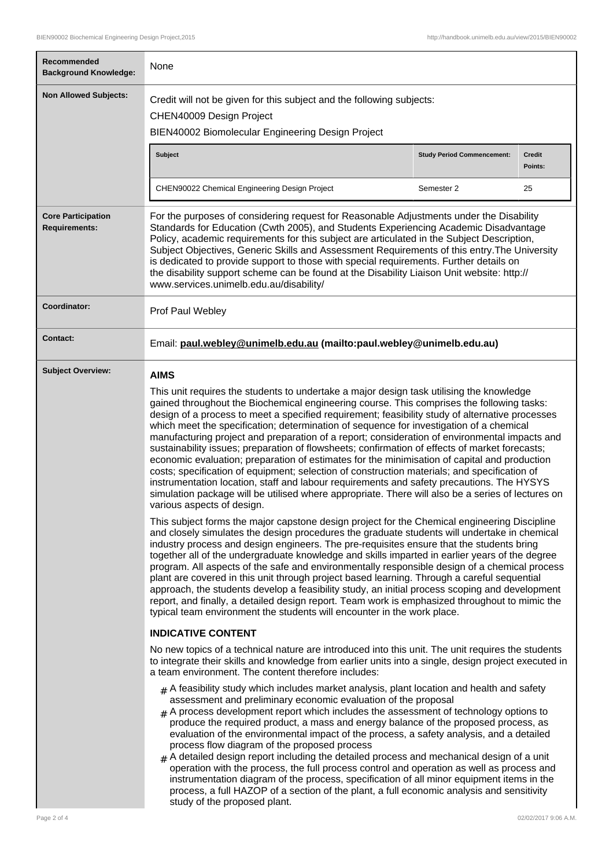┑

 $\Gamma$ 

| Recommended<br><b>Background Knowledge:</b>       | None                                                                                                                                                                                                                                                                                                                                                                                                                                                                                                                                                                                                                                                                                                                                                                                                                                                                                                                                                                                                                   |                                   |                          |  |
|---------------------------------------------------|------------------------------------------------------------------------------------------------------------------------------------------------------------------------------------------------------------------------------------------------------------------------------------------------------------------------------------------------------------------------------------------------------------------------------------------------------------------------------------------------------------------------------------------------------------------------------------------------------------------------------------------------------------------------------------------------------------------------------------------------------------------------------------------------------------------------------------------------------------------------------------------------------------------------------------------------------------------------------------------------------------------------|-----------------------------------|--------------------------|--|
| <b>Non Allowed Subjects:</b>                      | Credit will not be given for this subject and the following subjects:<br>CHEN40009 Design Project<br>BIEN40002 Biomolecular Engineering Design Project                                                                                                                                                                                                                                                                                                                                                                                                                                                                                                                                                                                                                                                                                                                                                                                                                                                                 |                                   |                          |  |
|                                                   | <b>Subject</b>                                                                                                                                                                                                                                                                                                                                                                                                                                                                                                                                                                                                                                                                                                                                                                                                                                                                                                                                                                                                         | <b>Study Period Commencement:</b> | <b>Credit</b><br>Points: |  |
|                                                   | CHEN90022 Chemical Engineering Design Project                                                                                                                                                                                                                                                                                                                                                                                                                                                                                                                                                                                                                                                                                                                                                                                                                                                                                                                                                                          | Semester 2                        | 25                       |  |
| <b>Core Participation</b><br><b>Requirements:</b> | For the purposes of considering request for Reasonable Adjustments under the Disability<br>Standards for Education (Cwth 2005), and Students Experiencing Academic Disadvantage<br>Policy, academic requirements for this subject are articulated in the Subject Description,<br>Subject Objectives, Generic Skills and Assessment Requirements of this entry. The University<br>is dedicated to provide support to those with special requirements. Further details on<br>the disability support scheme can be found at the Disability Liaison Unit website: http://<br>www.services.unimelb.edu.au/disability/                                                                                                                                                                                                                                                                                                                                                                                                       |                                   |                          |  |
| Coordinator:                                      | Prof Paul Webley                                                                                                                                                                                                                                                                                                                                                                                                                                                                                                                                                                                                                                                                                                                                                                                                                                                                                                                                                                                                       |                                   |                          |  |
| Contact:                                          | Email: paul.webley@unimelb.edu.au (mailto:paul.webley@unimelb.edu.au)                                                                                                                                                                                                                                                                                                                                                                                                                                                                                                                                                                                                                                                                                                                                                                                                                                                                                                                                                  |                                   |                          |  |
| <b>Subject Overview:</b>                          | <b>AIMS</b>                                                                                                                                                                                                                                                                                                                                                                                                                                                                                                                                                                                                                                                                                                                                                                                                                                                                                                                                                                                                            |                                   |                          |  |
|                                                   | This unit requires the students to undertake a major design task utilising the knowledge<br>gained throughout the Biochemical engineering course. This comprises the following tasks:<br>design of a process to meet a specified requirement; feasibility study of alternative processes<br>which meet the specification; determination of sequence for investigation of a chemical<br>manufacturing project and preparation of a report; consideration of environmental impacts and<br>sustainability issues; preparation of flowsheets; confirmation of effects of market forecasts;<br>economic evaluation; preparation of estimates for the minimisation of capital and production<br>costs; specification of equipment; selection of construction materials; and specification of<br>instrumentation location, staff and labour requirements and safety precautions. The HYSYS<br>simulation package will be utilised where appropriate. There will also be a series of lectures on<br>various aspects of design. |                                   |                          |  |
|                                                   | This subject forms the major capstone design project for the Chemical engineering Discipline<br>and closely simulates the design procedures the graduate students will undertake in chemical<br>industry process and design engineers. The pre-requisites ensure that the students bring<br>together all of the undergraduate knowledge and skills imparted in earlier years of the degree<br>program. All aspects of the safe and environmentally responsible design of a chemical process<br>plant are covered in this unit through project based learning. Through a careful sequential<br>approach, the students develop a feasibility study, an initial process scoping and development<br>report, and finally, a detailed design report. Team work is emphasized throughout to mimic the<br>typical team environment the students will encounter in the work place.                                                                                                                                              |                                   |                          |  |
|                                                   | <b>INDICATIVE CONTENT</b>                                                                                                                                                                                                                                                                                                                                                                                                                                                                                                                                                                                                                                                                                                                                                                                                                                                                                                                                                                                              |                                   |                          |  |
|                                                   | No new topics of a technical nature are introduced into this unit. The unit requires the students<br>to integrate their skills and knowledge from earlier units into a single, design project executed in<br>a team environment. The content therefore includes:                                                                                                                                                                                                                                                                                                                                                                                                                                                                                                                                                                                                                                                                                                                                                       |                                   |                          |  |
|                                                   | $_{\#}$ A feasibility study which includes market analysis, plant location and health and safety<br>assessment and preliminary economic evaluation of the proposal<br>$#$ A process development report which includes the assessment of technology options to<br>produce the required product, a mass and energy balance of the proposed process, as<br>evaluation of the environmental impact of the process, a safety analysis, and a detailed<br>process flow diagram of the proposed process<br>$#$ A detailed design report including the detailed process and mechanical design of a unit<br>operation with the process, the full process control and operation as well as process and<br>instrumentation diagram of the process, specification of all minor equipment items in the<br>process, a full HAZOP of a section of the plant, a full economic analysis and sensitivity<br>study of the proposed plant.                                                                                                 |                                   |                          |  |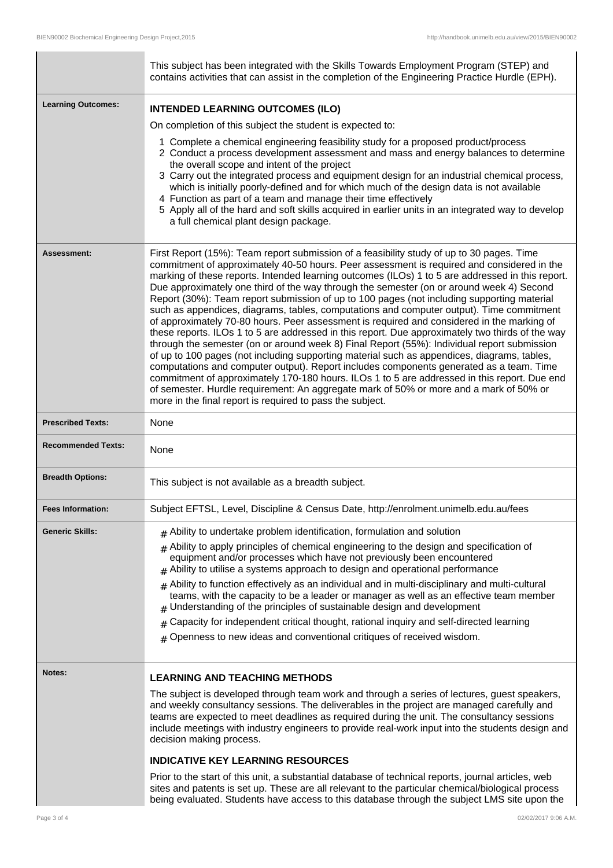|                           | This subject has been integrated with the Skills Towards Employment Program (STEP) and<br>contains activities that can assist in the completion of the Engineering Practice Hurdle (EPH).                                                                                                                                                                                                                                                                                                                                                                                                                                                                                                                                                                                                                                                                                                                                                                                                                                                                                                                                                                                                                                                                                                                                           |  |
|---------------------------|-------------------------------------------------------------------------------------------------------------------------------------------------------------------------------------------------------------------------------------------------------------------------------------------------------------------------------------------------------------------------------------------------------------------------------------------------------------------------------------------------------------------------------------------------------------------------------------------------------------------------------------------------------------------------------------------------------------------------------------------------------------------------------------------------------------------------------------------------------------------------------------------------------------------------------------------------------------------------------------------------------------------------------------------------------------------------------------------------------------------------------------------------------------------------------------------------------------------------------------------------------------------------------------------------------------------------------------|--|
| <b>Learning Outcomes:</b> | <b>INTENDED LEARNING OUTCOMES (ILO)</b>                                                                                                                                                                                                                                                                                                                                                                                                                                                                                                                                                                                                                                                                                                                                                                                                                                                                                                                                                                                                                                                                                                                                                                                                                                                                                             |  |
|                           | On completion of this subject the student is expected to:                                                                                                                                                                                                                                                                                                                                                                                                                                                                                                                                                                                                                                                                                                                                                                                                                                                                                                                                                                                                                                                                                                                                                                                                                                                                           |  |
|                           | 1 Complete a chemical engineering feasibility study for a proposed product/process<br>2 Conduct a process development assessment and mass and energy balances to determine<br>the overall scope and intent of the project<br>3 Carry out the integrated process and equipment design for an industrial chemical process,<br>which is initially poorly-defined and for which much of the design data is not available<br>4 Function as part of a team and manage their time effectively<br>5 Apply all of the hard and soft skills acquired in earlier units in an integrated way to develop<br>a full chemical plant design package.                                                                                                                                                                                                                                                                                                                                                                                                                                                                                                                                                                                                                                                                                                |  |
| Assessment:               | First Report (15%): Team report submission of a feasibility study of up to 30 pages. Time<br>commitment of approximately 40-50 hours. Peer assessment is required and considered in the<br>marking of these reports. Intended learning outcomes (ILOs) 1 to 5 are addressed in this report.<br>Due approximately one third of the way through the semester (on or around week 4) Second<br>Report (30%): Team report submission of up to 100 pages (not including supporting material<br>such as appendices, diagrams, tables, computations and computer output). Time commitment<br>of approximately 70-80 hours. Peer assessment is required and considered in the marking of<br>these reports. ILOs 1 to 5 are addressed in this report. Due approximately two thirds of the way<br>through the semester (on or around week 8) Final Report (55%): Individual report submission<br>of up to 100 pages (not including supporting material such as appendices, diagrams, tables,<br>computations and computer output). Report includes components generated as a team. Time<br>commitment of approximately 170-180 hours. ILOs 1 to 5 are addressed in this report. Due end<br>of semester. Hurdle requirement: An aggregate mark of 50% or more and a mark of 50% or<br>more in the final report is required to pass the subject. |  |
| <b>Prescribed Texts:</b>  | None                                                                                                                                                                                                                                                                                                                                                                                                                                                                                                                                                                                                                                                                                                                                                                                                                                                                                                                                                                                                                                                                                                                                                                                                                                                                                                                                |  |
| <b>Recommended Texts:</b> | None                                                                                                                                                                                                                                                                                                                                                                                                                                                                                                                                                                                                                                                                                                                                                                                                                                                                                                                                                                                                                                                                                                                                                                                                                                                                                                                                |  |
| <b>Breadth Options:</b>   | This subject is not available as a breadth subject.                                                                                                                                                                                                                                                                                                                                                                                                                                                                                                                                                                                                                                                                                                                                                                                                                                                                                                                                                                                                                                                                                                                                                                                                                                                                                 |  |
| <b>Fees Information:</b>  | Subject EFTSL, Level, Discipline & Census Date, http://enrolment.unimelb.edu.au/fees                                                                                                                                                                                                                                                                                                                                                                                                                                                                                                                                                                                                                                                                                                                                                                                                                                                                                                                                                                                                                                                                                                                                                                                                                                                |  |
| <b>Generic Skills:</b>    | $#$ Ability to undertake problem identification, formulation and solution<br>$#$ Ability to apply principles of chemical engineering to the design and specification of<br>equipment and/or processes which have not previously been encountered<br>$#$ Ability to utilise a systems approach to design and operational performance<br>Ability to function effectively as an individual and in multi-disciplinary and multi-cultural<br>#<br>teams, with the capacity to be a leader or manager as well as an effective team member<br>Understanding of the principles of sustainable design and development<br>Capacity for independent critical thought, rational inquiry and self-directed learning<br>#<br>Openness to new ideas and conventional critiques of received wisdom.<br>#                                                                                                                                                                                                                                                                                                                                                                                                                                                                                                                                            |  |
| <b>Notes:</b>             | <b>LEARNING AND TEACHING METHODS</b>                                                                                                                                                                                                                                                                                                                                                                                                                                                                                                                                                                                                                                                                                                                                                                                                                                                                                                                                                                                                                                                                                                                                                                                                                                                                                                |  |
|                           | The subject is developed through team work and through a series of lectures, guest speakers,<br>and weekly consultancy sessions. The deliverables in the project are managed carefully and<br>teams are expected to meet deadlines as required during the unit. The consultancy sessions<br>include meetings with industry engineers to provide real-work input into the students design and<br>decision making process.                                                                                                                                                                                                                                                                                                                                                                                                                                                                                                                                                                                                                                                                                                                                                                                                                                                                                                            |  |
|                           | <b>INDICATIVE KEY LEARNING RESOURCES</b>                                                                                                                                                                                                                                                                                                                                                                                                                                                                                                                                                                                                                                                                                                                                                                                                                                                                                                                                                                                                                                                                                                                                                                                                                                                                                            |  |
|                           | Prior to the start of this unit, a substantial database of technical reports, journal articles, web<br>sites and patents is set up. These are all relevant to the particular chemical/biological process<br>being evaluated. Students have access to this database through the subject LMS site upon the                                                                                                                                                                                                                                                                                                                                                                                                                                                                                                                                                                                                                                                                                                                                                                                                                                                                                                                                                                                                                            |  |